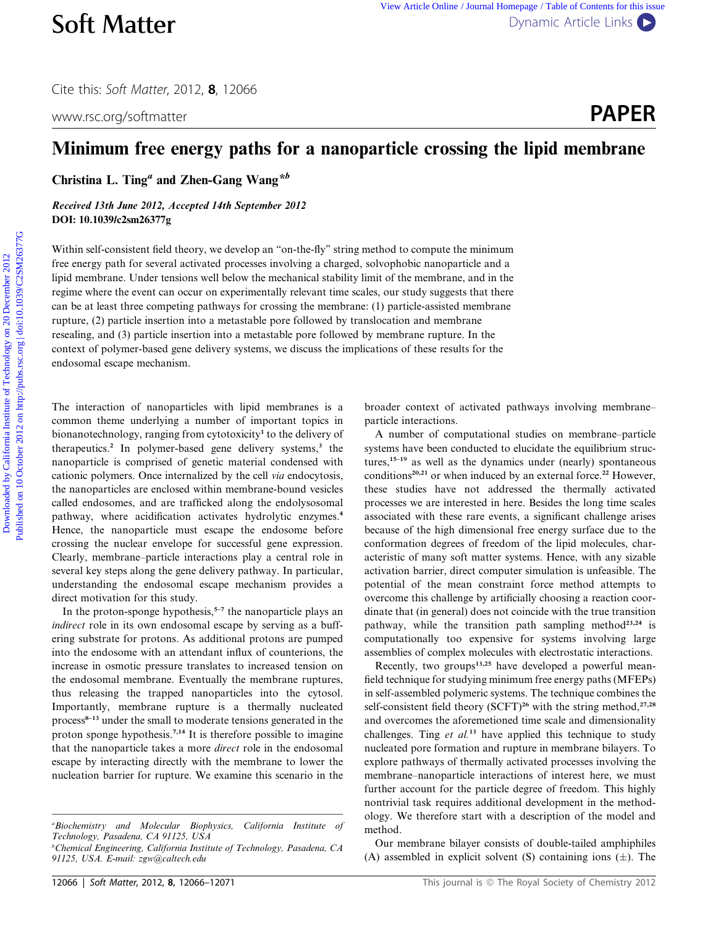Cite this: Soft Matter, 2012, <sup>8</sup>, 12066

www.rsc.org/softmatter **PAPER** 



## Minimum free energy paths for a nanoparticle crossing the lipid membrane

Christina L. Ting<sup>a</sup> and Zhen-Gang Wang<sup>\*b</sup>

Received 13th June 2012, Accepted 14th September 2012 DOI: 10.1039/c2sm26377g

Within self-consistent field theory, we develop an "on-the-fly" string method to compute the minimum free energy path for several activated processes involving a charged, solvophobic nanoparticle and a lipid membrane. Under tensions well below the mechanical stability limit of the membrane, and in the regime where the event can occur on experimentally relevant time scales, our study suggests that there can be at least three competing pathways for crossing the membrane: (1) particle-assisted membrane rupture, (2) particle insertion into a metastable pore followed by translocation and membrane resealing, and (3) particle insertion into a metastable pore followed by membrane rupture. In the context of polymer-based gene delivery systems, we discuss the implications of these results for the endosomal escape mechanism. **Soft Matter** <sup>View Arists by Case *is a California Institute of California Institute of California Institute of Technology of Technology of Technology of Technology on 2012 Published on 10 October 2012 Published Californ</sup>* 

The interaction of nanoparticles with lipid membranes is a common theme underlying a number of important topics in bionanotechnology, ranging from cytotoxicity<sup>1</sup> to the delivery of therapeutics.<sup>2</sup> In polymer-based gene delivery systems,<sup>3</sup> the nanoparticle is comprised of genetic material condensed with cationic polymers. Once internalized by the cell via endocytosis, the nanoparticles are enclosed within membrane-bound vesicles called endosomes, and are trafficked along the endolysosomal pathway, where acidification activates hydrolytic enzymes.<sup>4</sup> Hence, the nanoparticle must escape the endosome before crossing the nuclear envelope for successful gene expression. Clearly, membrane–particle interactions play a central role in several key steps along the gene delivery pathway. In particular, understanding the endosomal escape mechanism provides a direct motivation for this study.

In the proton-sponge hypothesis, $5-7$  the nanoparticle plays an indirect role in its own endosomal escape by serving as a buffering substrate for protons. As additional protons are pumped into the endosome with an attendant influx of counterions, the increase in osmotic pressure translates to increased tension on the endosomal membrane. Eventually the membrane ruptures, thus releasing the trapped nanoparticles into the cytosol. Importantly, membrane rupture is a thermally nucleated process<sup>8-13</sup> under the small to moderate tensions generated in the proton sponge hypothesis.7,14 It is therefore possible to imagine that the nanoparticle takes a more direct role in the endosomal escape by interacting directly with the membrane to lower the nucleation barrier for rupture. We examine this scenario in the

broader context of activated pathways involving membrane– particle interactions.

A number of computational studies on membrane–particle systems have been conducted to elucidate the equilibrium structures, $15-19$  as well as the dynamics under (nearly) spontaneous conditions<sup>20,21</sup> or when induced by an external force.<sup>22</sup> However, these studies have not addressed the thermally activated processes we are interested in here. Besides the long time scales associated with these rare events, a significant challenge arises because of the high dimensional free energy surface due to the conformation degrees of freedom of the lipid molecules, characteristic of many soft matter systems. Hence, with any sizable activation barrier, direct computer simulation is unfeasible. The potential of the mean constraint force method attempts to overcome this challenge by artificially choosing a reaction coordinate that (in general) does not coincide with the true transition pathway, while the transition path sampling method<sup>23,24</sup> is computationally too expensive for systems involving large assemblies of complex molecules with electrostatic interactions.

Recently, two groups<sup>13,25</sup> have developed a powerful meanfield technique for studying minimum free energy paths (MFEPs) in self-assembled polymeric systems. The technique combines the self-consistent field theory  $(SCFT)^{26}$  with the string method,<sup>27,28</sup> and overcomes the aforemetioned time scale and dimensionality challenges. Ting  $et$   $al$ .<sup>13</sup> have applied this technique to study nucleated pore formation and rupture in membrane bilayers. To explore pathways of thermally activated processes involving the membrane–nanoparticle interactions of interest here, we must further account for the particle degree of freedom. This highly nontrivial task requires additional development in the methodology. We therefore start with a description of the model and method.

Our membrane bilayer consists of double-tailed amphiphiles (A) assembled in explicit solvent (S) containing ions  $(\pm)$ . The

a Biochemistry and Molecular Biophysics, California Institute of Technology, Pasadena, CA 91125, USA

<sup>&</sup>lt;sup>b</sup>Chemical Engineering, California Institute of Technology, Pasadena, CA 91125, USA. E-mail: zgw@caltech.edu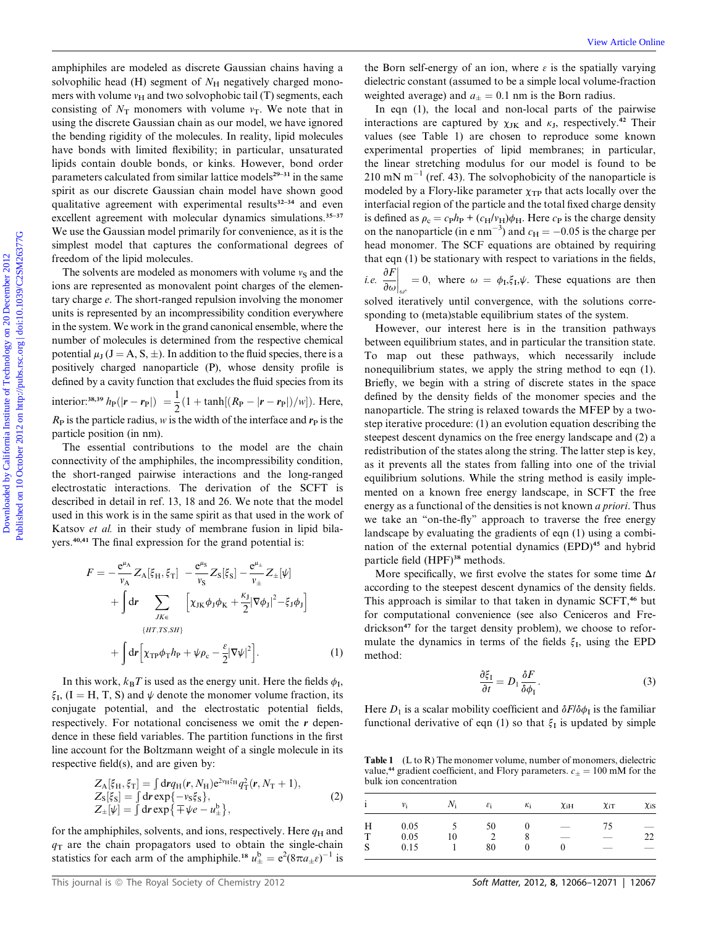amphiphiles are modeled as discrete Gaussian chains having a solvophilic head (H) segment of  $N_H$  negatively charged monomers with volume  $v_H$  and two solvophobic tail (T) segments, each consisting of  $N_T$  monomers with volume  $v_T$ . We note that in using the discrete Gaussian chain as our model, we have ignored the bending rigidity of the molecules. In reality, lipid molecules have bonds with limited flexibility; in particular, unsaturated lipids contain double bonds, or kinks. However, bond order parameters calculated from similar lattice models<sup>29–31</sup> in the same spirit as our discrete Gaussian chain model have shown good qualitative agreement with experimental results<sup>32-34</sup> and even excellent agreement with molecular dynamics simulations.<sup>35-37</sup> We use the Gaussian model primarily for convenience, as it is the simplest model that captures the conformational degrees of freedom of the lipid molecules.

The solvents are modeled as monomers with volume  $v<sub>S</sub>$  and the ions are represented as monovalent point charges of the elementary charge e. The short-ranged repulsion involving the monomer units is represented by an incompressibility condition everywhere in the system. We work in the grand canonical ensemble, where the number of molecules is determined from the respective chemical potential  $\mu_J$  (J = A, S,  $\pm$ ). In addition to the fluid species, there is a positively charged nanoparticle (P), whose density profile is defined by a cavity function that excludes the fluid species from its interior:<sup>38,39</sup>  $h_P(|\mathbf{r} - \mathbf{r}_P|) = \frac{1}{2}(1 + \tanh[(R_P - |\mathbf{r} - \mathbf{r}_P|)/w])$ . Here,  $R<sub>P</sub>$  is the particle radius, w is the width of the interface and  $r<sub>P</sub>$  is the particle position (in nm).

The essential contributions to the model are the chain connectivity of the amphiphiles, the incompressibility condition, the short-ranged pairwise interactions and the long-ranged electrostatic interactions. The derivation of the SCFT is described in detail in ref. 13, 18 and 26. We note that the model used in this work is in the same spirit as that used in the work of Katsov et al. in their study of membrane fusion in lipid bilayers.40,41 The final expression for the grand potential is:

$$
F = -\frac{e^{\mu_{\rm A}}}{v_{\rm A}} Z_{\rm A}[\xi_{\rm H}, \xi_{\rm T}] - \frac{e^{\mu_{\rm S}}}{v_{\rm S}} Z_{\rm S}[\xi_{\rm S}] - \frac{e^{\mu_{\rm \pm}}}{v_{\rm \pm}} Z_{\rm \pm}[\psi] + \int \mathrm{d}r \sum_{JK \in} \left[ \chi_{\rm JK} \phi_J \phi_{\rm K} + \frac{\kappa_J}{2} |\nabla \phi_J|^2 - \xi_J \phi_J \right] + \int \mathrm{d}r \left[ \chi_{\rm TP} \phi_{\rm T} h_{\rm P} + \psi \rho_{\rm c} - \frac{\varepsilon}{2} |\nabla \psi|^2 \right].
$$
 (1)

In this work,  $k_BT$  is used as the energy unit. Here the fields  $\phi_I$ ,  $\xi_L$ , (I = H, T, S) and  $\psi$  denote the monomer volume fraction, its conjugate potential, and the electrostatic potential fields, respectively. For notational conciseness we omit the r dependence in these field variables. The partition functions in the first line account for the Boltzmann weight of a single molecule in its respective field(s), and are given by:

$$
Z_{\rm A}[\xi_{\rm H}, \xi_{\rm T}] = \int d\mathbf{r} q_{\rm H}(\mathbf{r}, N_{\rm H}) e^{2\nu_{\rm H}\xi_{\rm H}} q_{\rm T}^2(\mathbf{r}, N_{\rm T} + 1),
$$
  
\n
$$
Z_{\rm S}[\xi_{\rm S}] = \int d\mathbf{r} \exp\{-\nu_{\rm S}\xi_{\rm S}\},
$$
  
\n
$$
Z_{\pm}[\psi] = \int d\mathbf{r} \exp\{\mp \psi e - u_{\pm}^{b}\},
$$
\n(2)

for the amphiphiles, solvents, and ions, respectively. Here  $q_H$  and  $q_T$  are the chain propagators used to obtain the single-chain statistics for each arm of the amphiphile.<sup>18</sup>  $u_{\pm}^{b} = e^{2}(8\pi a_{\pm} \varepsilon)^{-1}$  is the Born self-energy of an ion, where  $\varepsilon$  is the spatially varying dielectric constant (assumed to be a simple local volume-fraction weighted average) and  $a_+ = 0.1$  nm is the Born radius.

In eqn (1), the local and non-local parts of the pairwise interactions are captured by  $\chi_{JK}$  and  $\kappa_J$ , respectively.<sup>42</sup> Their values (see Table 1) are chosen to reproduce some known experimental properties of lipid membranes; in particular, the linear stretching modulus for our model is found to be  $210$  mN m<sup>-1</sup> (ref. 43). The solvophobicity of the nanoparticle is modeled by a Flory-like parameter  $\chi_{TP}$  that acts locally over the interfacial region of the particle and the total fixed charge density is defined as  $\rho_c = c_P h_P + (c_H/v_H)\phi_H$ . Here  $c_P$  is the charge density on the nanoparticle (in e nm<sup>-3</sup>) and  $c<sub>H</sub> = -0.05$  is the charge per<br>head monomer. The SCE equations are obtained by requiring head monomer. The SCF equations are obtained by requiring that eqn (1) be stationary with respect to variations in the fields,

i.e.  $\frac{\partial F}{\partial x}$  $\partial \omega$  $\left\| \begin{array}{l} \n\omega = 0, \text{ where } \omega = \phi_L, \xi_L, \psi. \text{ These equations are then} \n\end{array} \right\|_{\omega^*}$ solved iteratively until convergence, with the solutions corresponding to (meta)stable equilibrium states of the system.

However, our interest here is in the transition pathways between equilibrium states, and in particular the transition state. To map out these pathways, which necessarily include nonequilibrium states, we apply the string method to eqn (1). Briefly, we begin with a string of discrete states in the space defined by the density fields of the monomer species and the nanoparticle. The string is relaxed towards the MFEP by a twostep iterative procedure: (1) an evolution equation describing the steepest descent dynamics on the free energy landscape and (2) a redistribution of the states along the string. The latter step is key, as it prevents all the states from falling into one of the trivial equilibrium solutions. While the string method is easily implemented on a known free energy landscape, in SCFT the free energy as a functional of the densities is not known a priori. Thus we take an ''on-the-fly'' approach to traverse the free energy landscape by evaluating the gradients of eqn (1) using a combination of the external potential dynamics (EPD)<sup>45</sup> and hybrid particle field (HPF)<sup>38</sup> methods. analysis are modaled as dieserte Gaussien chain, horing a the Born effective parameter of Naps and His consistents of His gaussien control and the state of California Institute on 10 October 2012 on the state of Periodic

> More specifically, we first evolve the states for some time  $\Delta t$ according to the steepest descent dynamics of the density fields. This approach is similar to that taken in dynamic SCFT,<sup>46</sup> but for computational convenience (see also Ceniceros and Fredrickson<sup>47</sup> for the target density problem), we choose to reformulate the dynamics in terms of the fields  $\xi_I$ , using the EPD method:

$$
\frac{\partial \xi_1}{\partial t} = D_1 \frac{\delta F}{\delta \phi_1}.
$$
 (3)

Here  $D_1$  is a scalar mobility coefficient and  $\delta F/\delta \phi_I$  is the familiar functional derivative of eqn (1) so that  $\xi_1$  is updated by simple

Table 1 (L to R) The monomer volume, number of monomers, dielectric value,<sup>44</sup> gradient coefficient, and Flory parameters.  $c_{\pm} = 100$  mM for the bulk ion concentration

|   | $v_i$ | $N_{\rm i}$ | $\varepsilon_i$ | $K_i$ | $\chi$ iH         | $\chi_{iT}$              | $\chi$ <sub>iS</sub> |
|---|-------|-------------|-----------------|-------|-------------------|--------------------------|----------------------|
| Н | 0.05  |             | 50              |       | $\hspace{0.05cm}$ | 75                       |                      |
| т | 0.05  | 10          |                 | 8     | $\frac{1}{2}$     | _                        | 22                   |
| S | 0.15  |             | 80              |       |                   | $\overline{\phantom{a}}$ |                      |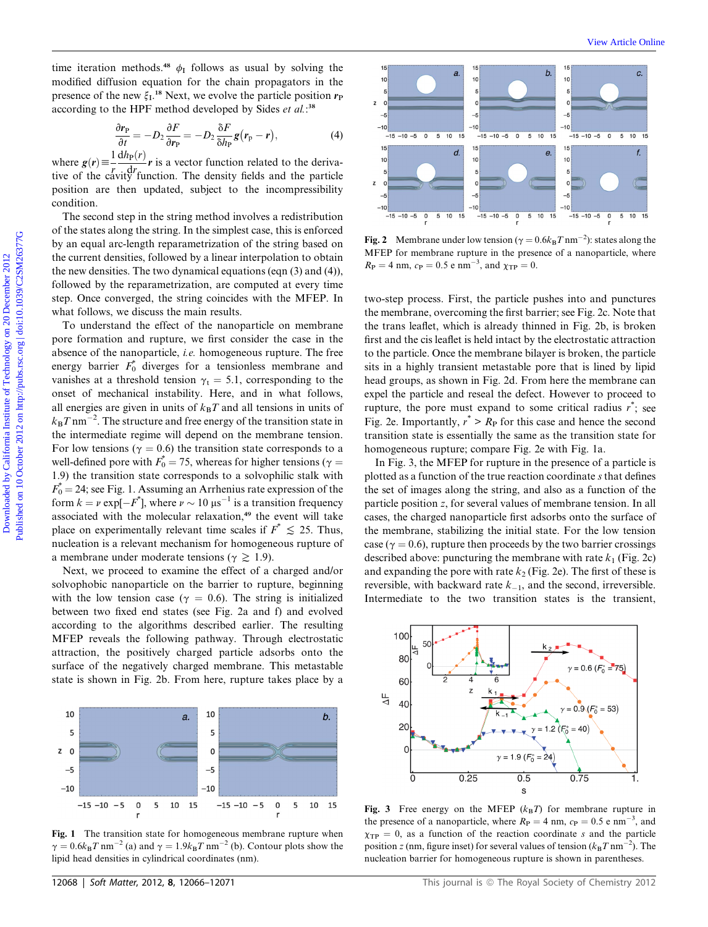time iteration methods.<sup>48</sup>  $\phi_I$  follows as usual by solving the modified diffusion equation for the chain propagators in the presence of the new  $\xi_L$ .<sup>18</sup> Next, we evolve the particle position  $r_P$ according to the HPF method developed by Sides et al.:<sup>38</sup>

$$
\frac{\partial \mathbf{r}_{\rm P}}{\partial t} = -D_2 \frac{\partial F}{\partial \mathbf{r}_{\rm P}} = -D_2 \frac{\partial F}{\partial h_{\rm P}} \mathbf{g} (\mathbf{r}_{\rm P} - \mathbf{r}), \tag{4}
$$

where  $g(r) \equiv \frac{1}{r} \frac{dh_P(r)}{dr} r$  is a vector function related to the derivative of the cavity function. The density fields and the particle position are then updated, subject to the incompressibility condition.

The second step in the string method involves a redistribution of the states along the string. In the simplest case, this is enforced by an equal arc-length reparametrization of the string based on the current densities, followed by a linear interpolation to obtain the new densities. The two dynamical equations (eqn (3) and (4)), followed by the reparametrization, are computed at every time step. Once converged, the string coincides with the MFEP. In what follows, we discuss the main results.

To understand the effect of the nanoparticle on membrane pore formation and rupture, we first consider the case in the absence of the nanoparticle, i.e. homogeneous rupture. The free energy barrier  $F_0^*$  diverges for a tensionless membrane and vanishes at a threshold tension  $\gamma_t = 5.1$ , corresponding to the onset of mechanical instability. Here, and in what follows, all energies are given in units of  $k_BT$  and all tensions in units of  $k_{\rm B}T$  nm<sup>-2</sup>. The structure and free energy of the transition state in the intermediate regime will depend on the membrane tension. For low tensions ( $\gamma = 0.6$ ) the transition state corresponds to a well-defined pore with  $F_0^* = 75$ , whereas for higher tensions ( $\gamma = 1.9$ ) the transition state corresponds to a solvenhilic stalk with 1.9) the transition state corresponds to a solvophilic stalk with  $F_0^* = 24$ ; see Fig. 1. Assuming an Arrhenius rate expression of the form  $k = u$  and  $F_0^*$  where  $u \ge 10$  us<sup>-1</sup> is a transition frequency form  $k = \nu \exp[-F^*]$ , where  $\nu \sim 10 \mu s^{-1}$  is a transition frequency<br>associated with the molecular relaxation <sup>49</sup> the event will take associated with the molecular relaxation,<sup>49</sup> the event will take place on experimentally relevant time scales if  $F^* \leq 25$ . Thus, nucleation is a relevant mechanism for homogeneous rupture of a membrane under moderate tensions ( $\gamma \geq 1.9$ ). Consideration methods.<sup>66</sup> of follows as usual by subing the<br>presence of the HBF properties in the particle persistion  $\frac{\delta r}{r} = -\frac{3}{2} \frac{\delta r}{r} = -\frac{3}{2} \frac{\delta r}{r} = -\frac{3}{2} \frac{\delta r}{r} = -\frac{3}{2} \frac{\delta r}{r} = -\frac{3}{2} \frac{\delta r}{r} = -\frac{3}{2$ 

Next, we proceed to examine the effect of a charged and/or solvophobic nanoparticle on the barrier to rupture, beginning with the low tension case ( $\gamma = 0.6$ ). The string is initialized between two fixed end states (see Fig. 2a and f) and evolved according to the algorithms described earlier. The resulting MFEP reveals the following pathway. Through electrostatic attraction, the positively charged particle adsorbs onto the surface of the negatively charged membrane. This metastable state is shown in Fig. 2b. From here, rupture takes place by a



Fig. 1 The transition state for homogeneous membrane rupture when  $\gamma = 0.6k_BT$  nm<sup>-2</sup> (a) and  $\gamma = 1.9k_BT$  nm<sup>-2</sup> (b). Contour plots show the lipid head densities in cylindrical coordinates (nm).



**Fig. 2** Membrane under low tension  $(\gamma = 0.6k_B T \text{ nm}^{-2})$ : states along the MEEP for membrane nunture in the presence of a papoparticle, where MFEP for membrane rupture in the presence of a nanoparticle, where  $R_{\rm P} = 4$  nm,  $c_{\rm P} = 0.5$  e nm<sup>-3</sup>, and  $\chi_{\rm TP} = 0$ .

two-step process. First, the particle pushes into and punctures the membrane, overcoming the first barrier; see Fig. 2c. Note that the trans leaflet, which is already thinned in Fig. 2b, is broken first and the cis leaflet is held intact by the electrostatic attraction to the particle. Once the membrane bilayer is broken, the particle sits in a highly transient metastable pore that is lined by lipid head groups, as shown in Fig. 2d. From here the membrane can expel the particle and reseal the defect. However to proceed to rupture, the pore must expand to some critical radius  $r^*$ ; see Fig. 2e. Importantly,  $r^* > R_P$  for this case and hence the second transition state is essentially the same as the transition state for homogeneous rupture; compare Fig. 2e with Fig. 1a.

In Fig. 3, the MFEP for rupture in the presence of a particle is plotted as a function of the true reaction coordinate s that defines the set of images along the string, and also as a function of the particle position z, for several values of membrane tension. In all cases, the charged nanoparticle first adsorbs onto the surface of the membrane, stabilizing the initial state. For the low tension case ( $\gamma = 0.6$ ), rupture then proceeds by the two barrier crossings described above: puncturing the membrane with rate  $k_1$  (Fig. 2c) and expanding the pore with rate  $k_2$  (Fig. 2e). The first of these is reversible, with backward rate  $k_{-1}$ , and the second, irreversible. Intermediate to the two transition states is the transient,



Fig. 3 Free energy on the MFEP  $(k_B T)$  for membrane rupture in the presence of a nanoparticle, where  $R_P = 4$  nm,  $c_P = 0.5$  e nm<sup>-3</sup>, and<br> $\gamma_{\text{eff}} = 0$ , as a function of the required a sordinate s and the particle  $\chi_{TP} = 0$ , as a function of the reaction coordinate s and the particle position z (nm, figure inset) for several values of tension  $(k_B T n m^{-2})$ . The nucleation barrier for homogeneous rupture is shown in parentheses.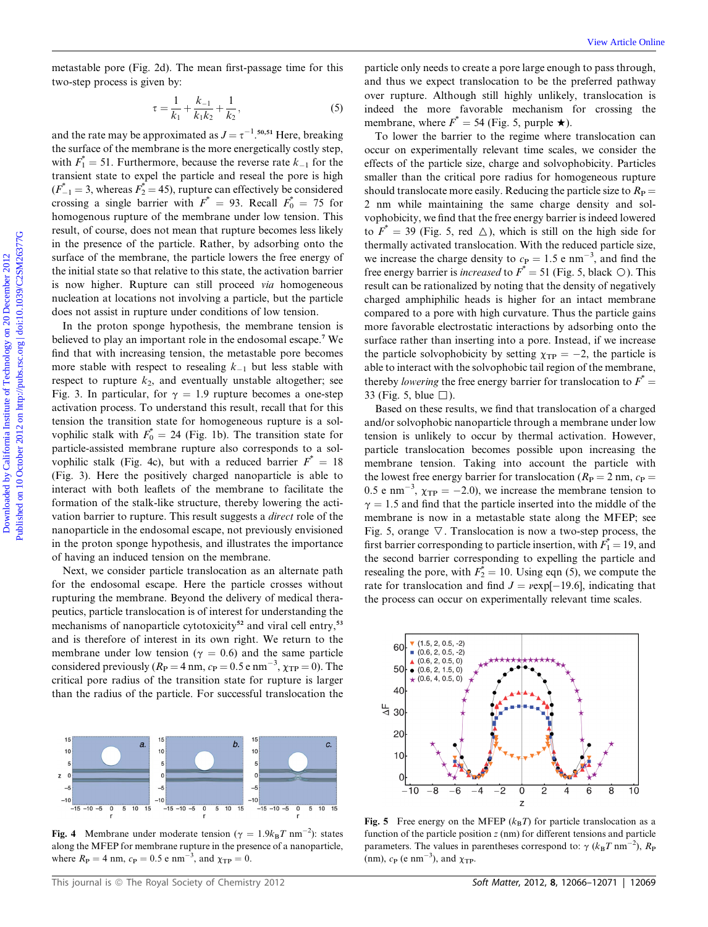metastable pore (Fig. 2d). The mean first-passage time for this two-step process is given by:

$$
\tau = \frac{1}{k_1} + \frac{k_{-1}}{k_1 k_2} + \frac{1}{k_2},\tag{5}
$$

and the rate may be approximated as  $J = \tau^{-1}$ , <sup>50,51</sup> Here, breaking<br>the surface of the membrane is the more energetically costly step. the surface of the membrane is the more energetically costly step, with  $F_1^* = 51$ . Furthermore, because the reverse rate  $k_{-1}$  for the transient state to expel the particle and reseal the pore is high transient state to expel the particle and reseal the pore is high  $(F_{-1}^* = 3$ , whereas  $F_2^* = 45$ ), rupture can effectively be considered<br>crossing a single barrier with  $F_1^* = 93$ . Recall  $F_2^* = 75$  for crossing a single barrier with  $F^* = 93$ . Recall  $F_0^* = 75$  for homogenous runture of the membrane under low tension. This homogenous rupture of the membrane under low tension. This result, of course, does not mean that rupture becomes less likely in the presence of the particle. Rather, by adsorbing onto the surface of the membrane, the particle lowers the free energy of the initial state so that relative to this state, the activation barrier is now higher. Rupture can still proceed via homogeneous nucleation at locations not involving a particle, but the particle does not assist in rupture under conditions of low tension.

In the proton sponge hypothesis, the membrane tension is believed to play an important role in the endosomal escape.<sup>7</sup> We find that with increasing tension, the metastable pore becomes more stable with respect to resealing  $k_{-1}$  but less stable with respect to rupture  $k_2$ , and eventually unstable altogether; see Fig. 3. In particular, for  $\gamma = 1.9$  rupture becomes a one-step activation process. To understand this result, recall that for this tension the transition state for homogeneous rupture is a solvophilic stalk with  $F_0^* = 24$  (Fig. 1b). The transition state for particle assisted membrane runture also corresponds to a sol particle-assisted membrane rupture also corresponds to a solvophilic stalk (Fig. 4c), but with a reduced barrier  $F^* = 18$ (Fig. 3). Here the positively charged nanoparticle is able to interact with both leaflets of the membrane to facilitate the formation of the stalk-like structure, thereby lowering the activation barrier to rupture. This result suggests a direct role of the nanoparticle in the endosomal escape, not previously envisioned in the proton sponge hypothesis, and illustrates the importance of having an induced tension on the membrane.

Next, we consider particle translocation as an alternate path for the endosomal escape. Here the particle crosses without rupturing the membrane. Beyond the delivery of medical therapeutics, particle translocation is of interest for understanding the mechanisms of nanoparticle cytotoxicity<sup>52</sup> and viral cell entry,<sup>53</sup> and is therefore of interest in its own right. We return to the membrane under low tension ( $\gamma = 0.6$ ) and the same particle considered previously  $(R_P = 4 \text{ nm}, c_P = 0.5 \text{ e nm}^{-3}, \chi_{TP} = 0)$ . The critical pore radius of the transition state for runture is larger critical pore radius of the transition state for rupture is larger than the radius of the particle. For successful translocation the



**Fig. 4** Membrane under moderate tension ( $\gamma = 1.9k_BT \text{ nm}^{-2}$ ): states along the MFEP for membrane rupture in the presence of a nanoparticle, where  $R_{\rm P} = 4$  nm,  $c_{\rm P} = 0.5$  e nm<sup>-3</sup>, and  $\chi_{\rm TP} = 0$ .

particle only needs to create a pore large enough to pass through, and thus we expect translocation to be the preferred pathway over rupture. Although still highly unlikely, translocation is indeed the more favorable mechanism for crossing the membrane, where  $\overline{F}^* = 54$  (Fig. 5, purple  $\star$ ).

To lower the barrier to the regime where translocation can occur on experimentally relevant time scales, we consider the effects of the particle size, charge and solvophobicity. Particles smaller than the critical pore radius for homogeneous rupture should translocate more easily. Reducing the particle size to  $R_P$  = 2 nm while maintaining the same charge density and solvophobicity, we find that the free energy barrier is indeed lowered to  $\vec{F}$  = 39 (Fig. 5, red  $\triangle$ ), which is still on the high side for thermally activated translocation. With the reduced particle size, we increase the charge density to  $c_P = 1.5$  e nm<sup>-3</sup>, and find the free energy barrier is increased to  $F^* = 51$  (Fig. 5, black  $\bigcirc$ ). This free energy barrier is *increased* to  $F^* = 51$  (Fig. 5, black  $\bigcirc$ ). This result can be rationalized by noting that the density of negatively charged amphiphilic heads is higher for an intact membrane compared to a pore with high curvature. Thus the particle gains more favorable electrostatic interactions by adsorbing onto the surface rather than inserting into a pore. Instead, if we increase the particle solvophobicity by setting  $\chi_{TP} = -2$ , the particle is able to interact with the solvophobic tail region of the membrane, thereby lowering the free energy barrier for translocation to  $F^*$  = 33 (Fig. 5, blue  $\Box$ ). The mass of Tep 2d). The mean find-puesque time for this particle only exact transforming to be the preferent published on the the particle of the properties of the particle of the particle of the particle of the particl

Based on these results, we find that translocation of a charged and/or solvophobic nanoparticle through a membrane under low tension is unlikely to occur by thermal activation. However, particle translocation becomes possible upon increasing the membrane tension. Taking into account the particle with the lowest free energy barrier for translocation ( $R_P = 2$  nm,  $c_P =$ 0.5 e nm<sup>-3</sup>,  $\chi_{\text{TP}} = -2.0$ , we increase the membrane tension to  $\alpha = 1.5$  and find that the particle inserted into the middle of the  $\gamma = 1.5$  and find that the particle inserted into the middle of the membrane is now in a metastable state along the MFEP; see Fig. 5, orange  $\nabla$ . Translocation is now a two-step process, the first barrier corresponding to particle insertion, with  $F_1^* = 19$ , and the second barrier corresponding to expelling the particle and the second barrier corresponding to expelling the particle and resealing the pore, with  $F_2^* = 10$ . Using eqn (5), we compute the rate for translocation and find  $I =$  way [-10.6] indicating that rate for translocation and find  $J = v \exp[-19.6]$ , indicating that the process can occur on experimentally relevant time scales.



Fig. 5 Free energy on the MFEP  $(k_B T)$  for particle translocation as a function of the particle position  $z$  (nm) for different tensions and particle parameters. The values in parentheses correspond to:  $\gamma$  ( $k_B T$  nm<sup>-2</sup>),  $R_F$ (nm),  $c_P$  (e nm<sup>-3</sup>), and  $\chi_{TP}$ .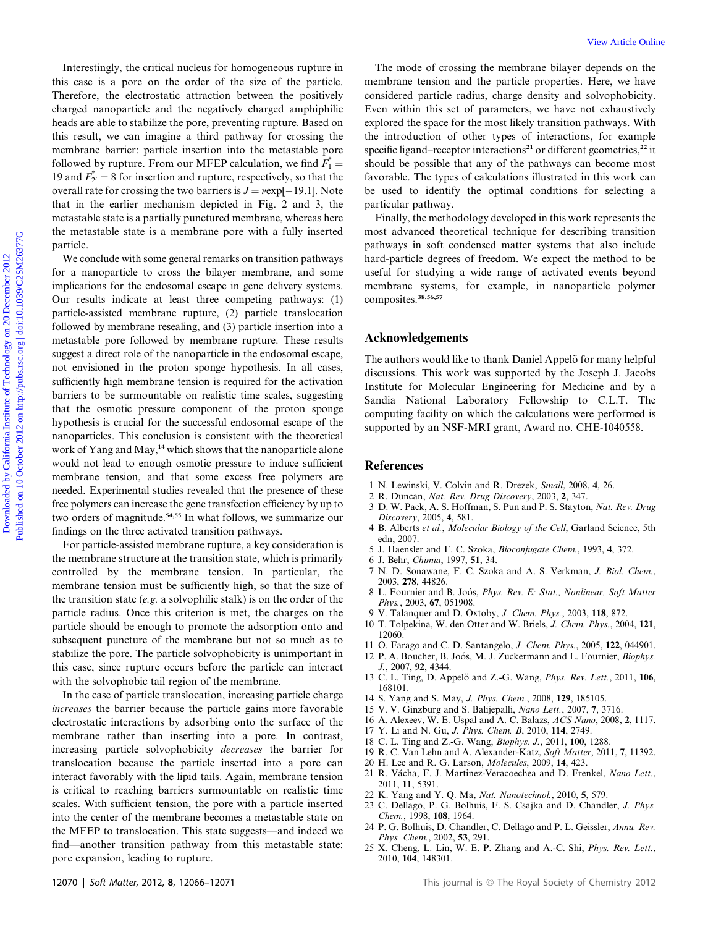Interestingly, the critical nucleus for homogeneous rupture in this case is a pore on the order of the size of the particle. Therefore, the electrostatic attraction between the positively charged nanoparticle and the negatively charged amphiphilic heads are able to stabilize the pore, preventing rupture. Based on this result, we can imagine a third pathway for crossing the membrane barrier: particle insertion into the metastable pore followed by rupture. From our MFEP calculation, we find  $F_1^* =$ 10 ionowed by rupture. From our MFEP calculation, we find  $F_1 = 19$  and  $F_{2'}^* = 8$  for insertion and rupture, respectively, so that the overall rate for crossing the two barriers is  $I =$  weyp[-19.11]. Note overall rate for crossing the two barriers is  $J = v \exp[-19.1]$ . Note that in the earlier mechanism depicted in Fig. 2 and 3, the metastable state is a partially punctured membrane, whereas here the metastable state is a membrane pore with a fully inserted particle.

We conclude with some general remarks on transition pathways for a nanoparticle to cross the bilayer membrane, and some implications for the endosomal escape in gene delivery systems. Our results indicate at least three competing pathways: (1) particle-assisted membrane rupture, (2) particle translocation followed by membrane resealing, and (3) particle insertion into a metastable pore followed by membrane rupture. These results suggest a direct role of the nanoparticle in the endosomal escape, not envisioned in the proton sponge hypothesis. In all cases, sufficiently high membrane tension is required for the activation barriers to be surmountable on realistic time scales, suggesting that the osmotic pressure component of the proton sponge hypothesis is crucial for the successful endosomal escape of the nanoparticles. This conclusion is consistent with the theoretical work of Yang and May,<sup>14</sup> which shows that the nanoparticle alone would not lead to enough osmotic pressure to induce sufficient membrane tension, and that some excess free polymers are needed. Experimental studies revealed that the presence of these free polymers can increase the gene transfection efficiency by up to two orders of magnitude.<sup>54,55</sup> In what follows, we summarize our findings on the three activated transition pathways. Intosciality, the article makers for homogeneous rurture in<br>
this case in a pare in the cost of the particle matched transition and the particle match points are controlled to provide the cost of Technology on the set of

For particle-assisted membrane rupture, a key consideration is the membrane structure at the transition state, which is primarily controlled by the membrane tension. In particular, the membrane tension must be sufficiently high, so that the size of the transition state  $(e.g. a solvophilic$  stalk) is on the order of the particle radius. Once this criterion is met, the charges on the particle should be enough to promote the adsorption onto and subsequent puncture of the membrane but not so much as to stabilize the pore. The particle solvophobicity is unimportant in this case, since rupture occurs before the particle can interact with the solvophobic tail region of the membrane.

In the case of particle translocation, increasing particle charge increases the barrier because the particle gains more favorable electrostatic interactions by adsorbing onto the surface of the membrane rather than inserting into a pore. In contrast, increasing particle solvophobicity decreases the barrier for translocation because the particle inserted into a pore can interact favorably with the lipid tails. Again, membrane tension is critical to reaching barriers surmountable on realistic time scales. With sufficient tension, the pore with a particle inserted into the center of the membrane becomes a metastable state on the MFEP to translocation. This state suggests—and indeed we find—another transition pathway from this metastable state: pore expansion, leading to rupture.

The mode of crossing the membrane bilayer depends on the membrane tension and the particle properties. Here, we have considered particle radius, charge density and solvophobicity. Even within this set of parameters, we have not exhaustively explored the space for the most likely transition pathways. With the introduction of other types of interactions, for example specific ligand–receptor interactions<sup>21</sup> or different geometries,<sup>22</sup> it should be possible that any of the pathways can become most favorable. The types of calculations illustrated in this work can be used to identify the optimal conditions for selecting a particular pathway.

Finally, the methodology developed in this work represents the most advanced theoretical technique for describing transition pathways in soft condensed matter systems that also include hard-particle degrees of freedom. We expect the method to be useful for studying a wide range of activated events beyond membrane systems, for example, in nanoparticle polymer composites.38,56,57

## Acknowledgements

The authors would like to thank Daniel Appelö for many helpful discussions. This work was supported by the Joseph J. Jacobs Institute for Molecular Engineering for Medicine and by a Sandia National Laboratory Fellowship to C.L.T. The computing facility on which the calculations were performed is supported by an NSF-MRI grant, Award no. CHE-1040558.

## References

- 1 N. Lewinski, V. Colvin and R. Drezek, Small, 2008, 4, 26.
- 2 R. Duncan, Nat. Rev. Drug Discovery, 2003, 2, 347.
- 3 D. W. Pack, A. S. Hoffman, S. Pun and P. S. Stayton, Nat. Rev. Drug Discovery, 2005, 4, 581.
- 4 B. Alberts et al., Molecular Biology of the Cell, Garland Science, 5th edn, 2007.
- 5 J. Haensler and F. C. Szoka, Bioconjugate Chem., 1993, 4, 372.
- 6 J. Behr, Chimia, 1997, 51, 34.
- 7 N. D. Sonawane, F. C. Szoka and A. S. Verkman, J. Biol. Chem., 2003, 278, 44826.
- 8 L. Fournier and B. Joós, *Phys. Rev. E: Stat., Nonlinear, Soft Matter* Phys., 2003, 67, 051908.
- 9 V. Talanquer and D. Oxtoby, J. Chem. Phys., 2003, 118, 872.
- 10 T. Tolpekina, W. den Otter and W. Briels, J. Chem. Phys., 2004, 121, 12060.
- 11 O. Farago and C. D. Santangelo, J. Chem. Phys., 2005, 122, 044901.
- 12 P. A. Boucher, B. Joós, M. J. Zuckermann and L. Fournier, Biophys. J., 2007, 92, 4344.
- 13 C. L. Ting, D. Appelö and Z.-G. Wang, Phys. Rev. Lett., 2011, 106, 168101.
- 14 S. Yang and S. May, J. Phys. Chem., 2008, 129, 185105.
- 15 V. V. Ginzburg and S. Balijepalli, Nano Lett., 2007, 7, 3716.
- 16 A. Alexeev, W. E. Uspal and A. C. Balazs, ACS Nano, 2008, 2, 1117.
- 17 Y. Li and N. Gu, J. Phys. Chem. B, 2010, 114, 2749.
- 18 C. L. Ting and Z.-G. Wang, Biophys. J., 2011, 100, 1288.
- 19 R. C. Van Lehn and A. Alexander-Katz, Soft Matter, 2011, 7, 11392.
- 20 H. Lee and R. G. Larson, Molecules, 2009, 14, 423.
- 21 R. Vácha, F. J. Martinez-Veracoechea and D. Frenkel, Nano Lett., 2011, 11, 5391.
- 22 K. Yang and Y. Q. Ma, Nat. Nanotechnol., 2010, 5, 579.
- 23 C. Dellago, P. G. Bolhuis, F. S. Csajka and D. Chandler, J. Phys. Chem., 1998, 108, 1964.
- 24 P. G. Bolhuis, D. Chandler, C. Dellago and P. L. Geissler, Annu. Rev. Phys. Chem., 2002, 53, 291.
- 25 X. Cheng, L. Lin, W. E. P. Zhang and A.-C. Shi, Phys. Rev. Lett., 2010, 104, 148301.